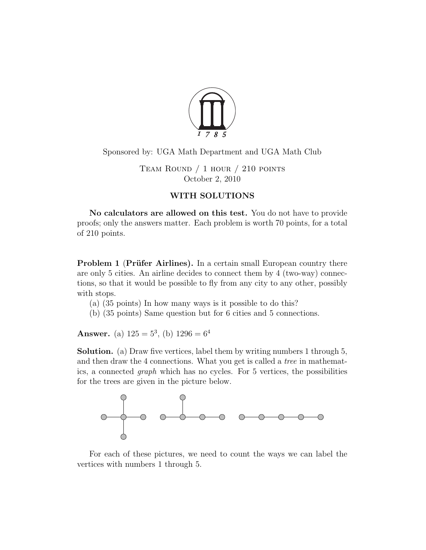

Sponsored by: UGA Math Department and UGA Math Club

Team Round / 1 hour / 210 points October 2, 2010

## WITH SOLUTIONS

No calculators are allowed on this test. You do not have to provide proofs; only the answers matter. Each problem is worth 70 points, for a total of 210 points.

**Problem 1 (Prüfer Airlines).** In a certain small European country there are only 5 cities. An airline decides to connect them by 4 (two-way) connections, so that it would be possible to fly from any city to any other, possibly with stops.

- (a) (35 points) In how many ways is it possible to do this?
- (b) (35 points) Same question but for 6 cities and 5 connections.

**Answer.** (a)  $125 = 5^3$ , (b)  $1296 = 6^4$ 

Solution. (a) Draw five vertices, label them by writing numbers 1 through 5, and then draw the 4 connections. What you get is called a tree in mathematics, a connected graph which has no cycles. For 5 vertices, the possibilities for the trees are given in the picture below.



For each of these pictures, we need to count the ways we can label the vertices with numbers 1 through 5.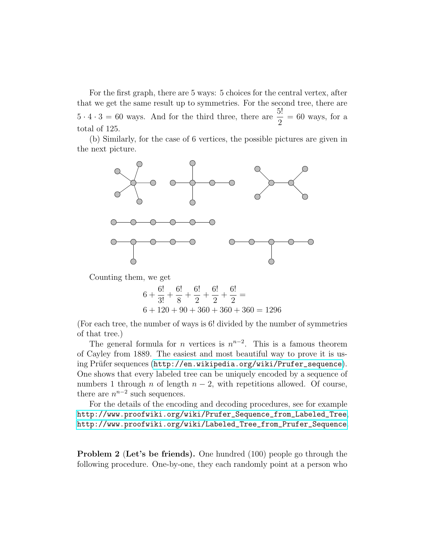For the first graph, there are 5 ways: 5 choices for the central vertex, after that we get the same result up to symmetries. For the second tree, there are  $5 \cdot 4 \cdot 3 = 60$  ways. And for the third three, there are  $\frac{5!}{3!}$ 2  $= 60$  ways, for a total of 125.

(b) Similarly, for the case of 6 vertices, the possible pictures are given in the next picture.



Counting them, we get

$$
6 + \frac{6!}{3!} + \frac{6!}{8} + \frac{6!}{2} + \frac{6!}{2} + \frac{6!}{2} =
$$
  
6 + 120 + 90 + 360 + 360 + 360 = 1296

(For each tree, the number of ways is 6! divided by the number of symmetries of that tree.)

The general formula for *n* vertices is  $n^{n-2}$ . This is a famous theorem of Cayley from 1889. The easiest and most beautiful way to prove it is using Prüfer sequences ([http://en.wikipedia.org/wiki/Prufer\\_sequence](http://en.wikipedia.org/wiki/Prufer_sequence)). One shows that every labeled tree can be uniquely encoded by a sequence of numbers 1 through n of length  $n-2$ , with repetitions allowed. Of course, there are  $n^{n-2}$  such sequences.

For the details of the encoding and decoding procedures, see for example [http://www.proofwiki.org/wiki/Prufer\\_Sequence\\_from\\_Labeled\\_Tree](http://www.proofwiki.org/wiki/Prufer_Sequence_from_Labeled_Tree), [http://www.proofwiki.org/wiki/Labeled\\_Tree\\_from\\_Prufer\\_Sequence](http://www.proofwiki.org/wiki/Labeled_Tree_from_Prufer_Sequence).

Problem 2 (Let's be friends). One hundred (100) people go through the following procedure. One-by-one, they each randomly point at a person who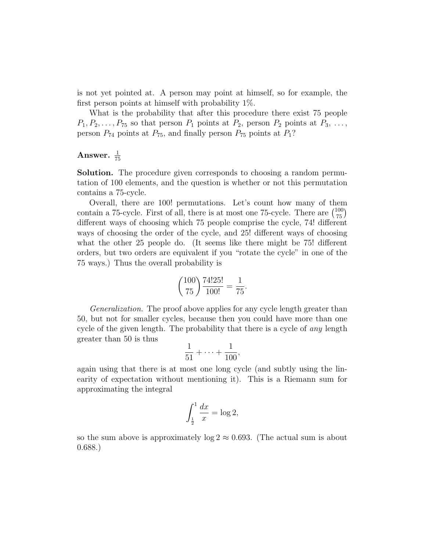is not yet pointed at. A person may point at himself, so for example, the first person points at himself with probability 1%.

What is the probability that after this procedure there exist 75 people  $P_1, P_2, \ldots, P_{75}$  so that person  $P_1$  points at  $P_2$ , person  $P_2$  points at  $P_3, \ldots,$ person  $P_{74}$  points at  $P_{75}$ , and finally person  $P_{75}$  points at  $P_1$ ?

## Answer.  $\frac{1}{75}$

Solution. The procedure given corresponds to choosing a random permutation of 100 elements, and the question is whether or not this permutation contains a 75-cycle.

Overall, there are 100! permutations. Let's count how many of them contain a 75-cycle. First of all, there is at most one 75-cycle. There are  $\binom{100}{75}$ different ways of choosing which 75 people comprise the cycle, 74! different ways of choosing the order of the cycle, and 25! different ways of choosing what the other 25 people do. (It seems like there might be 75! different orders, but two orders are equivalent if you "rotate the cycle" in one of the 75 ways.) Thus the overall probability is

$$
\binom{100}{75} \frac{74!25!}{100!} = \frac{1}{75}.
$$

Generalization. The proof above applies for any cycle length greater than 50, but not for smaller cycles, because then you could have more than one cycle of the given length. The probability that there is a cycle of *any* length greater than 50 is thus

$$
\frac{1}{51}+\cdots+\frac{1}{100},
$$

again using that there is at most one long cycle (and subtly using the linearity of expectation without mentioning it). This is a Riemann sum for approximating the integral

$$
\int_{\frac{1}{2}}^{1} \frac{dx}{x} = \log 2,
$$

so the sum above is approximately  $log 2 \approx 0.693$ . (The actual sum is about 0.688.)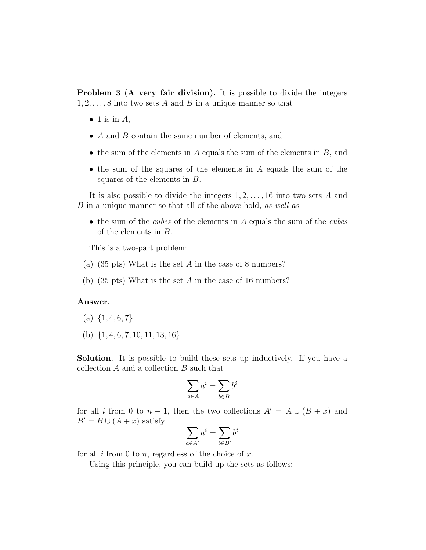**Problem 3 (A very fair division).** It is possible to divide the integers  $1, 2, \ldots, 8$  into two sets A and B in a unique manner so that

- $\bullet$  1 is in A,
- $A$  and  $B$  contain the same number of elements, and
- $\bullet$  the sum of the elements in A equals the sum of the elements in B, and
- the sum of the squares of the elements in A equals the sum of the squares of the elements in B.

It is also possible to divide the integers  $1, 2, \ldots, 16$  into two sets A and B in a unique manner so that all of the above hold, as well as

• the sum of the *cubes* of the elements in  $\vec{A}$  equals the sum of the *cubes* of the elements in B.

This is a two-part problem:

- (a) (35 pts) What is the set A in the case of 8 numbers?
- (b) (35 pts) What is the set A in the case of 16 numbers?

## Answer.

- (a)  $\{1, 4, 6, 7\}$
- (b)  $\{1, 4, 6, 7, 10, 11, 13, 16\}$

Solution. It is possible to build these sets up inductively. If you have a collection A and a collection B such that

$$
\sum_{a\in A} a^i = \sum_{b\in B} b^i
$$

for all i from 0 to  $n-1$ , then the two collections  $A' = A \cup (B + x)$  and  $B' = B \cup (A + x)$  satisfy

$$
\sum_{a \in A'} a^i = \sum_{b \in B'} b^i
$$

for all  $i$  from 0 to  $n$ , regardless of the choice of  $x$ .

Using this principle, you can build up the sets as follows: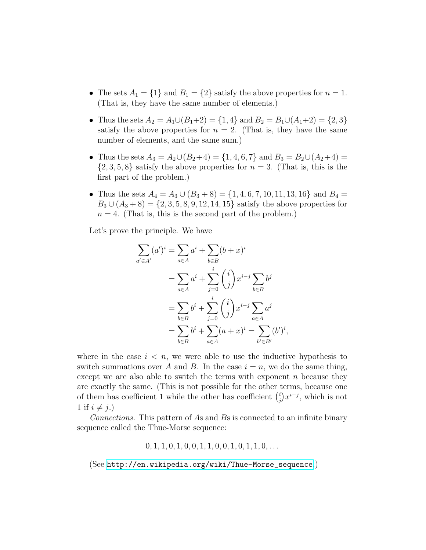- The sets  $A_1 = \{1\}$  and  $B_1 = \{2\}$  satisfy the above properties for  $n = 1$ . (That is, they have the same number of elements.)
- Thus the sets  $A_2 = A_1 \cup (B_1 + 2) = \{1, 4\}$  and  $B_2 = B_1 \cup (A_1 + 2) = \{2, 3\}$ satisfy the above properties for  $n = 2$ . (That is, they have the same number of elements, and the same sum.)
- Thus the sets  $A_3 = A_2 \cup (B_2 + 4) = \{1, 4, 6, 7\}$  and  $B_3 = B_2 \cup (A_2 + 4) =$  $\{2,3,5,8\}$  satisfy the above properties for  $n=3$ . (That is, this is the first part of the problem.)
- Thus the sets  $A_4 = A_3 \cup (B_3 + 8) = \{1, 4, 6, 7, 10, 11, 13, 16\}$  and  $B_4 =$  $B_3 \cup (A_3 + 8) = \{2, 3, 5, 8, 9, 12, 14, 15\}$  satisfy the above properties for  $n = 4$ . (That is, this is the second part of the problem.)

Let's prove the principle. We have

$$
\sum_{a' \in A'} (a')^i = \sum_{a \in A} a^i + \sum_{b \in B} (b + x)^i
$$
  
= 
$$
\sum_{a \in A} a^i + \sum_{j=0}^i {i \choose j} x^{i-j} \sum_{b \in B} b^j
$$
  
= 
$$
\sum_{b \in B} b^i + \sum_{j=0}^i {i \choose j} x^{i-j} \sum_{a \in A} a^j
$$
  
= 
$$
\sum_{b \in B} b^i + \sum_{a \in A} (a + x)^i = \sum_{b' \in B'} (b')^i,
$$

where in the case  $i < n$ , we were able to use the inductive hypothesis to switch summations over A and B. In the case  $i = n$ , we do the same thing, except we are also able to switch the terms with exponent  $n$  because they are exactly the same. (This is not possible for the other terms, because one of them has coefficient 1 while the other has coefficient  $\binom{i}{i}$  $j^{i}$  $(x^{i-j})$ , which is not 1 if  $i \neq j$ .)

Connections. This pattern of As and Bs is connected to an infinite binary sequence called the Thue-Morse sequence:

 $0, 1, 1, 0, 1, 0, 0, 1, 1, 0, 0, 1, 0, 1, 1, 0, \ldots$ 

(See [http://en.wikipedia.org/wiki/Thue-Morse\\_sequence](http://en.wikipedia.org/wiki/Thue-Morse_sequence).)